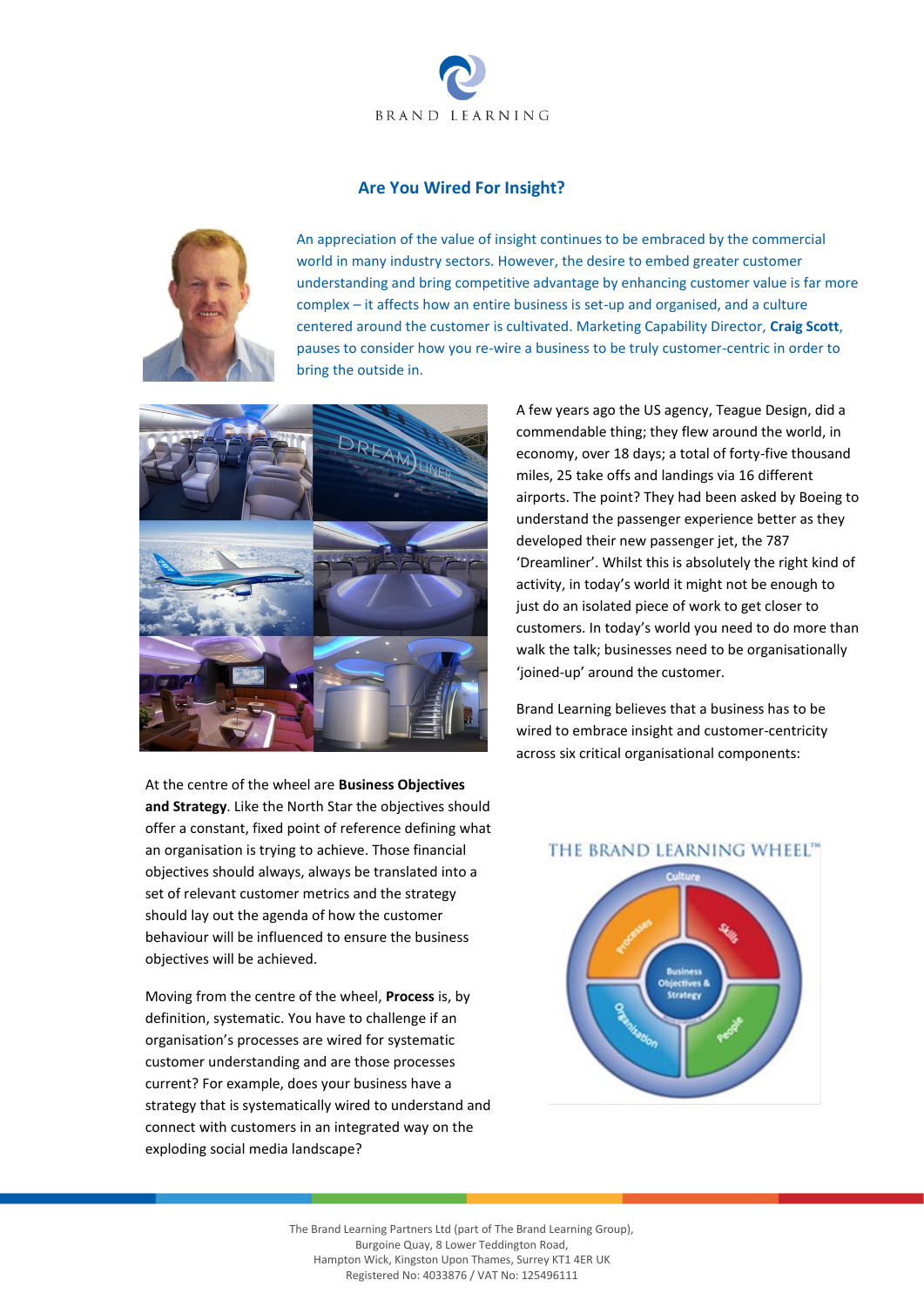

## **Are You Wired For Insight?**



An appreciation of the value of insight continues to be embraced by the commercial world in many industry sectors. However, the desire to embed greater customer understanding and bring competitive advantage by enhancing customer value is far more complex – it affects how an entire business is set-up and organised, and a culture centered around the customer is cultivated. Marketing Capability Director, **Craig Scott**, pauses to consider how you re-wire a business to be truly customer-centric in order to bring the outside in.



At the centre of the wheel are **Business Objectives and Strategy**. Like the North Star the objectives should offer a constant, fixed point of reference defining what an organisation is trying to achieve. Those financial objectives should always, always be translated into a set of relevant customer metrics and the strategy should lay out the agenda of how the customer behaviour will be influenced to ensure the business objectives will be achieved.

Moving from the centre of the wheel, **Process** is, by definition, systematic. You have to challenge if an organisation's processes are wired for systematic customer understanding and are those processes current? For example, does your business have a strategy that is systematically wired to understand and connect with customers in an integrated way on the exploding social media landscape?

A few years ago the US agency, Teague Design, did a commendable thing; they flew around the world, in economy, over 18 days; a total of forty-five thousand miles, 25 take offs and landings via 16 different airports. The point? They had been asked by Boeing to understand the passenger experience better as they developed their new passenger jet, the 787 'Dreamliner'. Whilst this is absolutely the right kind of activity, in today's world it might not be enough to just do an isolated piece of work to get closer to customers. In today's world you need to do more than walk the talk; businesses need to be organisationally 'joined-up' around the customer.

Brand Learning believes that a business has to be wired to embrace insight and customer-centricity across six critical organisational components:

## THE BRAND LEARNING WHEEL"



The Brand Learning Partners Ltd (part of The Brand Learning Group), Burgoine Quay, 8 Lower Teddington Road, Hampton Wick, Kingston Upon Thames, Surrey KT1 4ER UK Registered No: 4033876 / VAT No: 125496111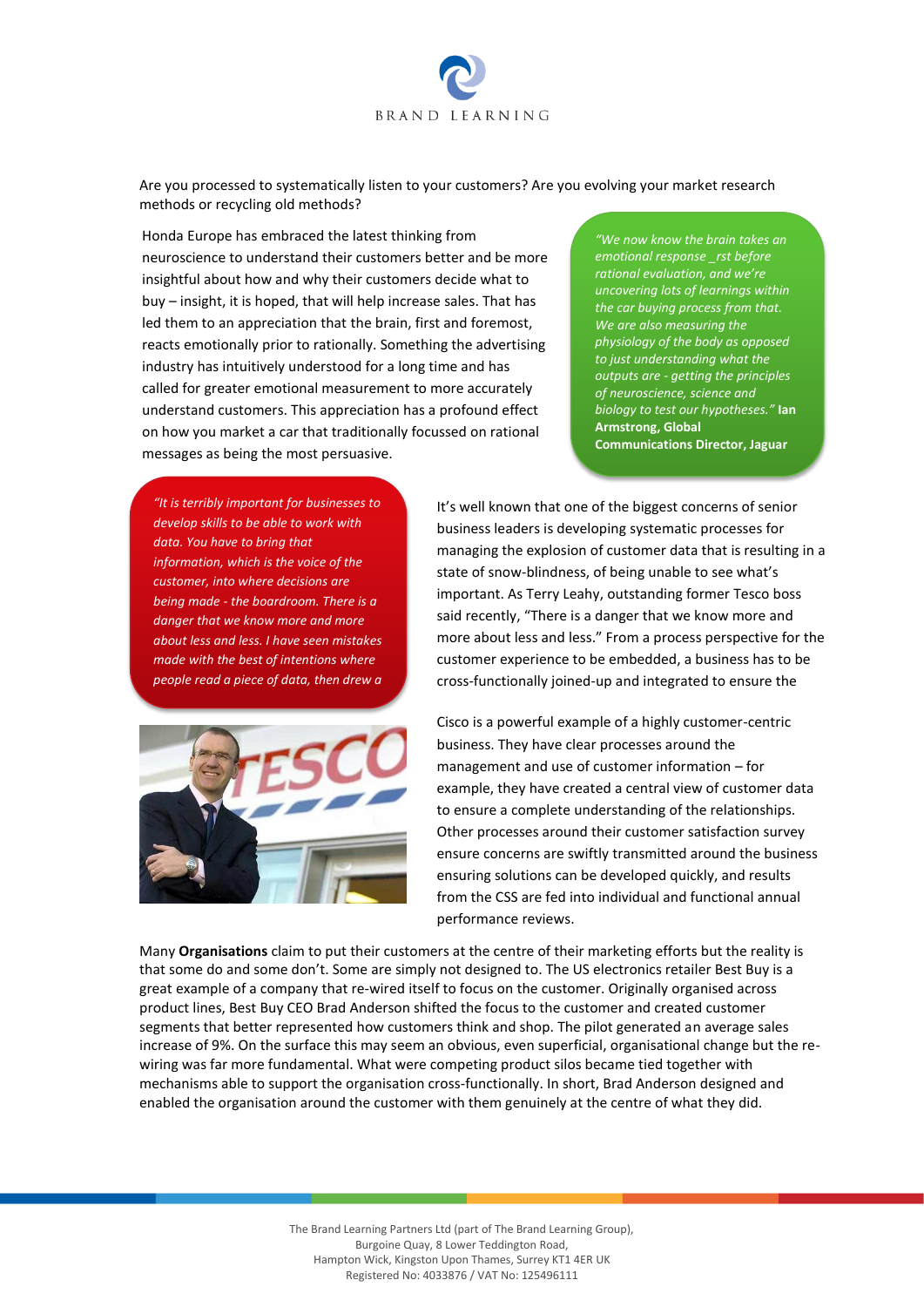

Are you processed to systematically listen to your customers? Are you evolving your market research methods or recycling old methods?

Honda Europe has embraced the latest thinking from neuroscience to understand their customers better and be more insightful about how and why their customers decide what to buy – insight, it is hoped, that will help increase sales. That has led them to an appreciation that the brain, first and foremost, reacts emotionally prior to rationally. Something the advertising industry has intuitively understood for a long time and has called for greater emotional measurement to more accurately understand customers. This appreciation has a profound effect on how you market a car that traditionally focussed on rational messages as being the most persuasive.

*"We now know the brain takes an emotional response \_rst before rational evaluation, and we're uncovering lots of learnings within the car buying process from that. We are also measuring the physiology of the body as opposed to just understanding what the outputs are - getting the principles of neuroscience, science and biology to test our hypotheses."* **Ian Armstrong, Global Communications Director, Jaguar** 

*"It is terribly important for businesses to develop skills to be able to work with data. You have to bring that information, which is the voice of the customer, into where decisions are being made - the boardroom. There is a danger that we know more and more about less and less. I have seen mistakes made with the best of intentions where people read a piece of data, then drew a* 

*conclusion that was too literal."* **Sir** 

It's well known that one of the biggest concerns of senior business leaders is developing systematic processes for managing the explosion of customer data that is resulting in a state of snow-blindness, of being unable to see what's important. As Terry Leahy, outstanding former Tesco boss said recently, "There is a danger that we know more and more about less and less." From a process perspective for the customer experience to be embedded, a business has to be cross-functionally joined-up and integrated to ensure the



Cisco is a powerful example of a highly customer-centric business. They have clear processes around the management and use of customer information – for example, they have created a central view of customer data to ensure a complete understanding of the relationships. Other processes around their customer satisfaction survey ensure concerns are swiftly transmitted around the business ensuring solutions can be developed quickly, and results from the CSS are fed into individual and functional annual performance reviews.

Many **Organisations** claim to put their customers at the centre of their marketing efforts but the reality is that some do and some don't. Some are simply not designed to. The US electronics retailer Best Buy is a great example of a company that re-wired itself to focus on the customer. Originally organised across product lines, Best Buy CEO Brad Anderson shifted the focus to the customer and created customer segments that better represented how customers think and shop. The pilot generated an average sales increase of 9%. On the surface this may seem an obvious, even superficial, organisational change but the rewiring was far more fundamental. What were competing product silos became tied together with mechanisms able to support the organisation cross-functionally. In short, Brad Anderson designed and enabled the organisation around the customer with them genuinely at the centre of what they did.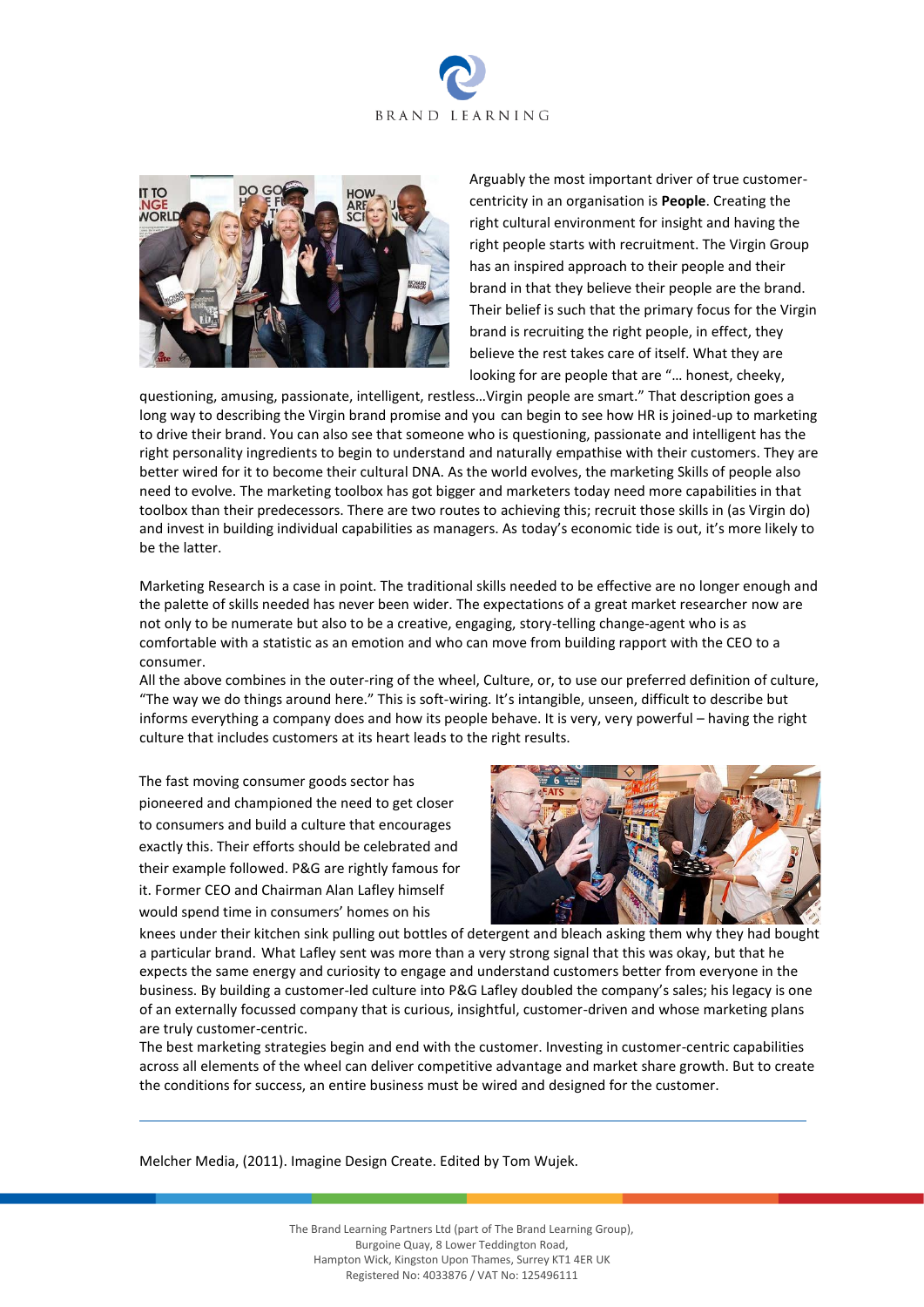



Arguably the most important driver of true customercentricity in an organisation is **People**. Creating the right cultural environment for insight and having the right people starts with recruitment. The Virgin Group has an inspired approach to their people and their brand in that they believe their people are the brand. Their belief is such that the primary focus for the Virgin brand is recruiting the right people, in effect, they believe the rest takes care of itself. What they are looking for are people that are "… honest, cheeky,

questioning, amusing, passionate, intelligent, restless…Virgin people are smart." That description goes a long way to describing the Virgin brand promise and you can begin to see how HR is joined-up to marketing to drive their brand. You can also see that someone who is questioning, passionate and intelligent has the right personality ingredients to begin to understand and naturally empathise with their customers. They are better wired for it to become their cultural DNA. As the world evolves, the marketing Skills of people also need to evolve. The marketing toolbox has got bigger and marketers today need more capabilities in that toolbox than their predecessors. There are two routes to achieving this; recruit those skills in (as Virgin do) and invest in building individual capabilities as managers. As today's economic tide is out, it's more likely to be the latter.

Marketing Research is a case in point. The traditional skills needed to be effective are no longer enough and the palette of skills needed has never been wider. The expectations of a great market researcher now are not only to be numerate but also to be a creative, engaging, story-telling change-agent who is as comfortable with a statistic as an emotion and who can move from building rapport with the CEO to a consumer.

All the above combines in the outer-ring of the wheel, Culture, or, to use our preferred definition of culture, "The way we do things around here." This is soft-wiring. It's intangible, unseen, difficult to describe but informs everything a company does and how its people behave. It is very, very powerful – having the right culture that includes customers at its heart leads to the right results.

The fast moving consumer goods sector has pioneered and championed the need to get closer to consumers and build a culture that encourages exactly this. Their efforts should be celebrated and their example followed. P&G are rightly famous for it. Former CEO and Chairman Alan Lafley himself would spend time in consumers' homes on his



knees under their kitchen sink pulling out bottles of detergent and bleach asking them why they had bought a particular brand. What Lafley sent was more than a very strong signal that this was okay, but that he expects the same energy and curiosity to engage and understand customers better from everyone in the business. By building a customer-led culture into P&G Lafley doubled the company's sales; his legacy is one of an externally focussed company that is curious, insightful, customer-driven and whose marketing plans are truly customer-centric.

The best marketing strategies begin and end with the customer. Investing in customer-centric capabilities across all elements of the wheel can deliver competitive advantage and market share growth. But to create the conditions for success, an entire business must be wired and designed for the customer.

Melcher Media, (2011). Imagine Design Create. Edited by Tom Wujek.